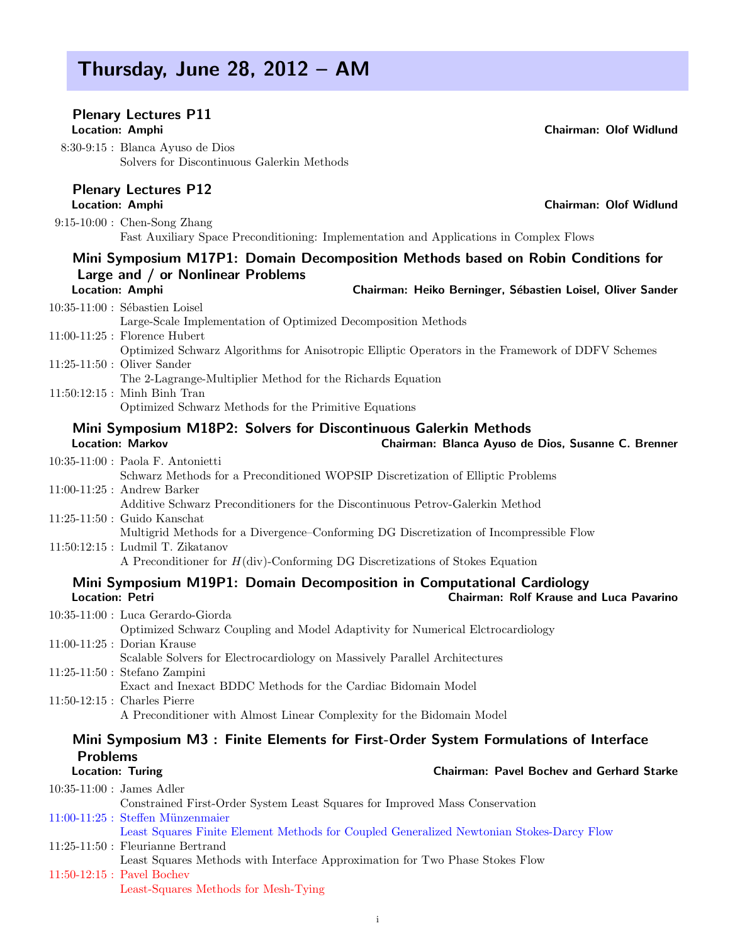### Thursday, June 28, 2012 – AM

#### Plenary Lectures P11 Location: Amphi Chairman: Olof Widlund

8:30-9:15 : Blanca Ayuso de Dios Solvers for Discontinuous Galerkin Methods

#### Plenary Lectures P12

Location: Amphi Chairman: Olof Widlund

9:15-10:00 : Chen-Song Zhang Fast Auxiliary Space Preconditioning: Implementation and Applications in Complex Flows

#### Mini Symposium M17P1: Domain Decomposition Methods based on Robin Conditions for Large and / or Nonlinear Problems

| <b>Location: Amphi</b>           | Chairman: Heiko Berninger, Sébastien Loisel, Oliver Sander |
|----------------------------------|------------------------------------------------------------|
| $10:35-11:00$ : Sébastien Loisel |                                                            |

Large-Scale Implementation of Optimized Decomposition Methods 11:00-11:25 : Florence Hubert Optimized Schwarz Algorithms for Anisotropic Elliptic Operators in the Framework of DDFV Schemes 11:25-11:50 : Oliver Sander The 2-Lagrange-Multiplier Method for the Richards Equation 11:50:12:15 : Minh Binh Tran Optimized Schwarz Methods for the Primitive Equations

#### Mini Symposium M18P2: Solvers for Discontinuous Galerkin Methods

| <b>Location: Markov</b> |  |
|-------------------------|--|
|-------------------------|--|

| $10:35-11:00$ : Paola F. Antonietti                                                                                 |
|---------------------------------------------------------------------------------------------------------------------|
| Schwarz Methods for a Preconditioned WOPSIP Discretization of Elliptic Problems                                     |
| $11:00-11:25$ : Andrew Barker                                                                                       |
| Additive Schwarz Preconditioners for the Discontinuous Petrov-Galerkin Method                                       |
| $11:25-11:50$ : Guido Kanschat                                                                                      |
| Multigrid Methods for a Divergence-Conforming DG Discretization of Incompressible Flow                              |
| $11:50:12:15$ : Ludmil T. Zikatanov                                                                                 |
| $\Lambda$ Decenditionar for $H(\text{div})$ Conforming DC Discretizations of $\mathcal{C}_{\text{tolres}}$ Equation |

A Preconditioner for H(div)-Conforming DG Discretizations of Stokes Equation

#### Mini Symposium M19P1: Domain Decomposition in Computational Cardiology Location: Petri Chairman: Rolf Krause and Luca Pavarino

Chairman: Blanca Ayuso de Dios, Susanne C. Brenner

| $10:35-11:00$ : Luca Gerardo-Giorda                                                  |
|--------------------------------------------------------------------------------------|
| Optimized Schwarz Coupling and Model Adaptivity for Numerical Electrocardiology      |
| $11:00-11:25$ : Dorian Krause                                                        |
| Scalable Solvers for Electrocardiology on Massively Parallel Architectures           |
| $11:25-11:50$ : Stefano Zampini                                                      |
| Exact and Inexact BDDC Methods for the Cardiac Bidomain Model                        |
| $11:50-12:15$ : Charles Pierre                                                       |
| A Preconditioner with Almost Linear Complexity for the Bidomain Model                |
| Mini Symposium M3 + Einite Elements for Eirst Order System Formulations of Interface |
|                                                                                      |

#### Mini Symposium M3 : Finite Elements for First-Order System Formulations of Interface **Problems**<br>Location: Turing Chairman: Pavel Bochev and Gerhard Starke

| Channan Lavel Dochev and Ochiara Dtai                                                    |
|------------------------------------------------------------------------------------------|
| $10:35-11:00$ : James Adler                                                              |
| Constrained First-Order System Least Squares for Improved Mass Conservation              |
| $11:00-11:25$ : Steffen Münzenmaier                                                      |
| Least Squares Finite Element Methods for Coupled Generalized Newtonian Stokes-Darcy Flow |
| $11:25-11:50$ : Fleurianne Bertrand                                                      |
| Least Squares Methods with Interface Approximation for Two Phase Stokes Flow             |
| $11:50-12:15$ : Pavel Bochev                                                             |
| Least-Squares Methods for Mesh-Tying                                                     |